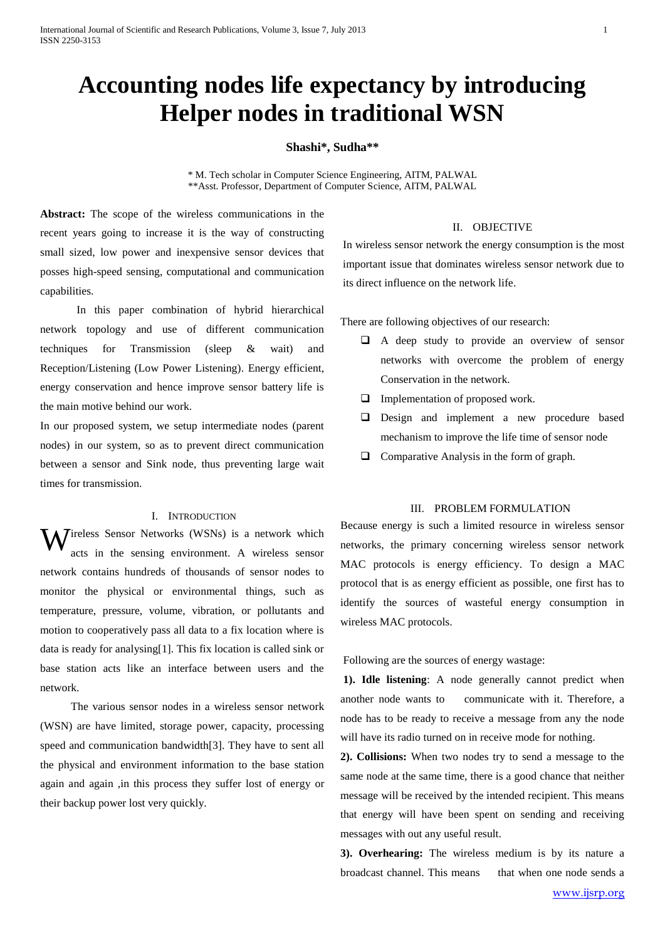# **Accounting nodes life expectancy by introducing Helper nodes in traditional WSN**

## **Shashi\*, Sudha\*\***

\* M. Tech scholar in Computer Science Engineering, AITM, PALWAL \*\*Asst. Professor, Department of Computer Science, AITM, PALWAL

**Abstract:** The scope of the wireless communications in the recent years going to increase it is the way of constructing small sized, low power and inexpensive sensor devices that posses high-speed sensing, computational and communication capabilities.

 In this paper combination of hybrid hierarchical network topology and use of different communication techniques for Transmission (sleep & wait) and Reception/Listening (Low Power Listening). Energy efficient, energy conservation and hence improve sensor battery life is the main motive behind our work.

In our proposed system, we setup intermediate nodes (parent nodes) in our system, so as to prevent direct communication between a sensor and Sink node, thus preventing large wait times for transmission.

#### I. INTRODUCTION

 $\mathbf{W}$ ireless Sensor Networks (WSNs) is a network which acts in the sensing environment. A wireless sensor acts in the sensing environment. A wireless sensor network contains hundreds of thousands of sensor nodes to monitor the physical or environmental things, such as temperature, pressure, volume, vibration, or pollutants and motion to cooperatively pass all data to a fix location where is data is ready for analysing[1]. This fix location is called sink or base station acts like an interface between users and the network.

 The various sensor nodes in a wireless sensor network (WSN) are have limited, storage power, capacity, processing speed and communication bandwidth[3]. They have to sent all the physical and environment information to the base station again and again ,in this process they suffer lost of energy or their backup power lost very quickly.

# II. OBJECTIVE

In wireless sensor network the energy consumption is the most important issue that dominates wireless sensor network due to its direct influence on the network life.

There are following objectives of our research:

- $\Box$  A deep study to provide an overview of sensor networks with overcome the problem of energy Conservation in the network.
- **Implementation of proposed work.**
- Design and implement a new procedure based mechanism to improve the life time of sensor node
- $\Box$  Comparative Analysis in the form of graph.

## III. PROBLEM FORMULATION

Because energy is such a limited resource in wireless sensor networks, the primary concerning wireless sensor network MAC protocols is energy efficiency. To design a MAC protocol that is as energy efficient as possible, one first has to identify the sources of wasteful energy consumption in wireless MAC protocols.

Following are the sources of energy wastage:

**1). Idle listening**: A node generally cannot predict when another node wants to communicate with it. Therefore, a node has to be ready to receive a message from any the node will have its radio turned on in receive mode for nothing.

**2). Collisions:** When two nodes try to send a message to the same node at the same time, there is a good chance that neither message will be received by the intended recipient. This means that energy will have been spent on sending and receiving messages with out any useful result.

**3). Overhearing:** The wireless medium is by its nature a broadcast channel. This means that when one node sends a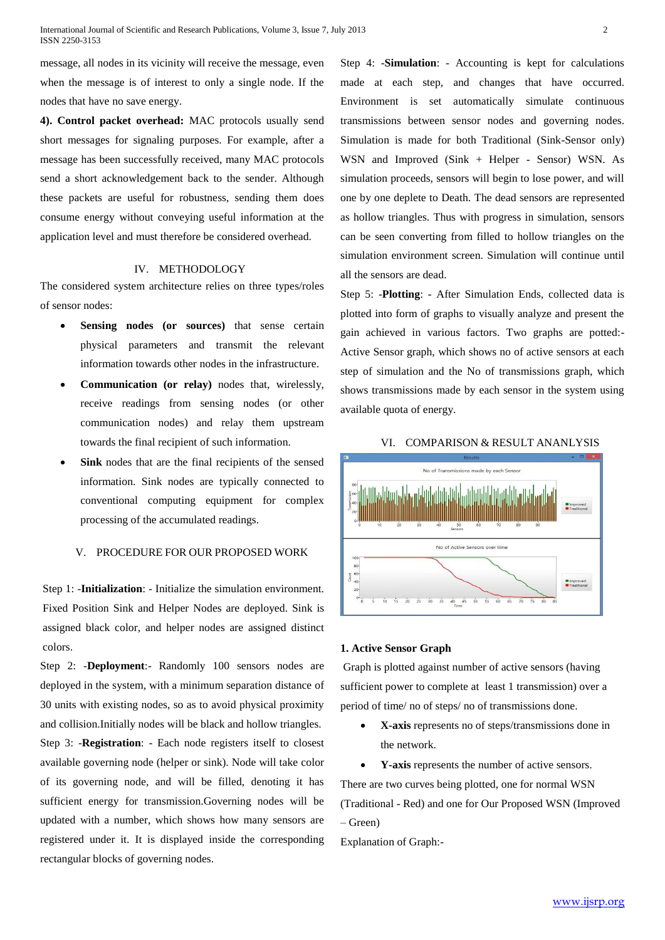message, all nodes in its vicinity will receive the message, even when the message is of interest to only a single node. If the nodes that have no save energy.

**4). Control packet overhead:** MAC protocols usually send short messages for signaling purposes. For example, after a message has been successfully received, many MAC protocols send a short acknowledgement back to the sender. Although these packets are useful for robustness, sending them does consume energy without conveying useful information at the application level and must therefore be considered overhead.

# IV. METHODOLOGY

The considered system architecture relies on three types/roles of sensor nodes:

- **Sensing nodes (or sources)** that sense certain physical parameters and transmit the relevant information towards other nodes in the infrastructure.
- **Communication (or relay)** nodes that, wirelessly, receive readings from sensing nodes (or other communication nodes) and relay them upstream towards the final recipient of such information.
- **Sink** nodes that are the final recipients of the sensed information. Sink nodes are typically connected to conventional computing equipment for complex processing of the accumulated readings.

# V. PROCEDURE FOR OUR PROPOSED WORK

Step 1: -**Initialization**: - Initialize the simulation environment. Fixed Position Sink and Helper Nodes are deployed. Sink is assigned black color, and helper nodes are assigned distinct colors.

Step 2: -**Deployment**:- Randomly 100 sensors nodes are deployed in the system, with a minimum separation distance of 30 units with existing nodes, so as to avoid physical proximity and collision.Initially nodes will be black and hollow triangles. Step 3: -**Registration**: - Each node registers itself to closest available governing node (helper or sink). Node will take color of its governing node, and will be filled, denoting it has sufficient energy for transmission.Governing nodes will be updated with a number, which shows how many sensors are registered under it. It is displayed inside the corresponding rectangular blocks of governing nodes.

Step 4: -**Simulation**: - Accounting is kept for calculations made at each step, and changes that have occurred. Environment is set automatically simulate continuous transmissions between sensor nodes and governing nodes. Simulation is made for both Traditional (Sink-Sensor only) WSN and Improved (Sink + Helper - Sensor) WSN. As simulation proceeds, sensors will begin to lose power, and will one by one deplete to Death. The dead sensors are represented as hollow triangles. Thus with progress in simulation, sensors can be seen converting from filled to hollow triangles on the simulation environment screen. Simulation will continue until all the sensors are dead.

Step 5: -**Plotting**: - After Simulation Ends, collected data is plotted into form of graphs to visually analyze and present the gain achieved in various factors. Two graphs are potted:- Active Sensor graph, which shows no of active sensors at each step of simulation and the No of transmissions graph, which shows transmissions made by each sensor in the system using available quota of energy.

#### VI. COMPARISON & RESULT ANANLYSIS



#### **1. Active Sensor Graph**

Graph is plotted against number of active sensors (having sufficient power to complete at least 1 transmission) over a period of time/ no of steps/ no of transmissions done.

- **X-axis** represents no of steps/transmissions done in the network.
- **Y-axis** represents the number of active sensors.

There are two curves being plotted, one for normal WSN (Traditional - Red) and one for Our Proposed WSN (Improved – Green)

Explanation of Graph:-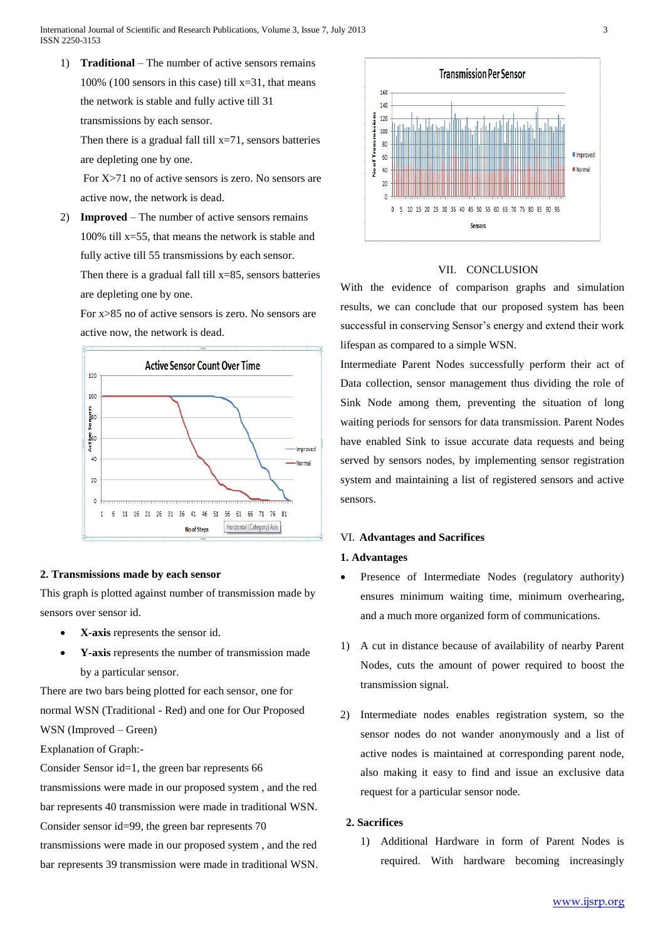1) **Traditional** – The number of active sensors remains 100% (100 sensors in this case) till  $x=31$ , that means the network is stable and fully active till 31 transmissions by each sensor.

Then there is a gradual fall till  $x=71$ , sensors batteries are depleting one by one.

For X>71 no of active sensors is zero. No sensors are active now, the network is dead.

2) **Improved** – The number of active sensors remains 100% till x=55, that means the network is stable and fully active till 55 transmissions by each sensor. Then there is a gradual fall till  $x=85$ , sensors batteries are depleting one by one.

For x>85 no of active sensors is zero. No sensors are active now, the network is dead.



# **2. Transmissions made by each sensor**

This graph is plotted against number of transmission made by sensors over sensor id.

- **X-axis** represents the sensor id.
- **Y-axis** represents the number of transmission made by a particular sensor.

There are two bars being plotted for each sensor, one for normal WSN (Traditional - Red) and one for Our Proposed WSN (Improved – Green)

Explanation of Graph:-

Consider Sensor id=1, the green bar represents 66 transmissions were made in our proposed system , and the red bar represents 40 transmission were made in traditional WSN. Consider sensor id=99, the green bar represents 70

transmissions were made in our proposed system , and the red bar represents 39 transmission were made in traditional WSN.



# VII. CONCLUSION

With the evidence of comparison graphs and simulation results, we can conclude that our proposed system has been successful in conserving Sensor's energy and extend their work lifespan as compared to a simple WSN.

Intermediate Parent Nodes successfully perform their act of Data collection, sensor management thus dividing the role of Sink Node among them, preventing the situation of long waiting periods for sensors for data transmission. Parent Nodes have enabled Sink to issue accurate data requests and being served by sensors nodes, by implementing sensor registration system and maintaining a list of registered sensors and active sensors.

## VI. **Advantages and Sacrifices**

## **1. Advantages**

- Presence of Intermediate Nodes (regulatory authority) ensures minimum waiting time, minimum overhearing, and a much more organized form of communications.
- 1) A cut in distance because of availability of nearby Parent Nodes, cuts the amount of power required to boost the transmission signal.
- 2) Intermediate nodes enables registration system, so the sensor nodes do not wander anonymously and a list of active nodes is maintained at corresponding parent node, also making it easy to find and issue an exclusive data request for a particular sensor node.

## **2. Sacrifices**

1) Additional Hardware in form of Parent Nodes is required. With hardware becoming increasingly